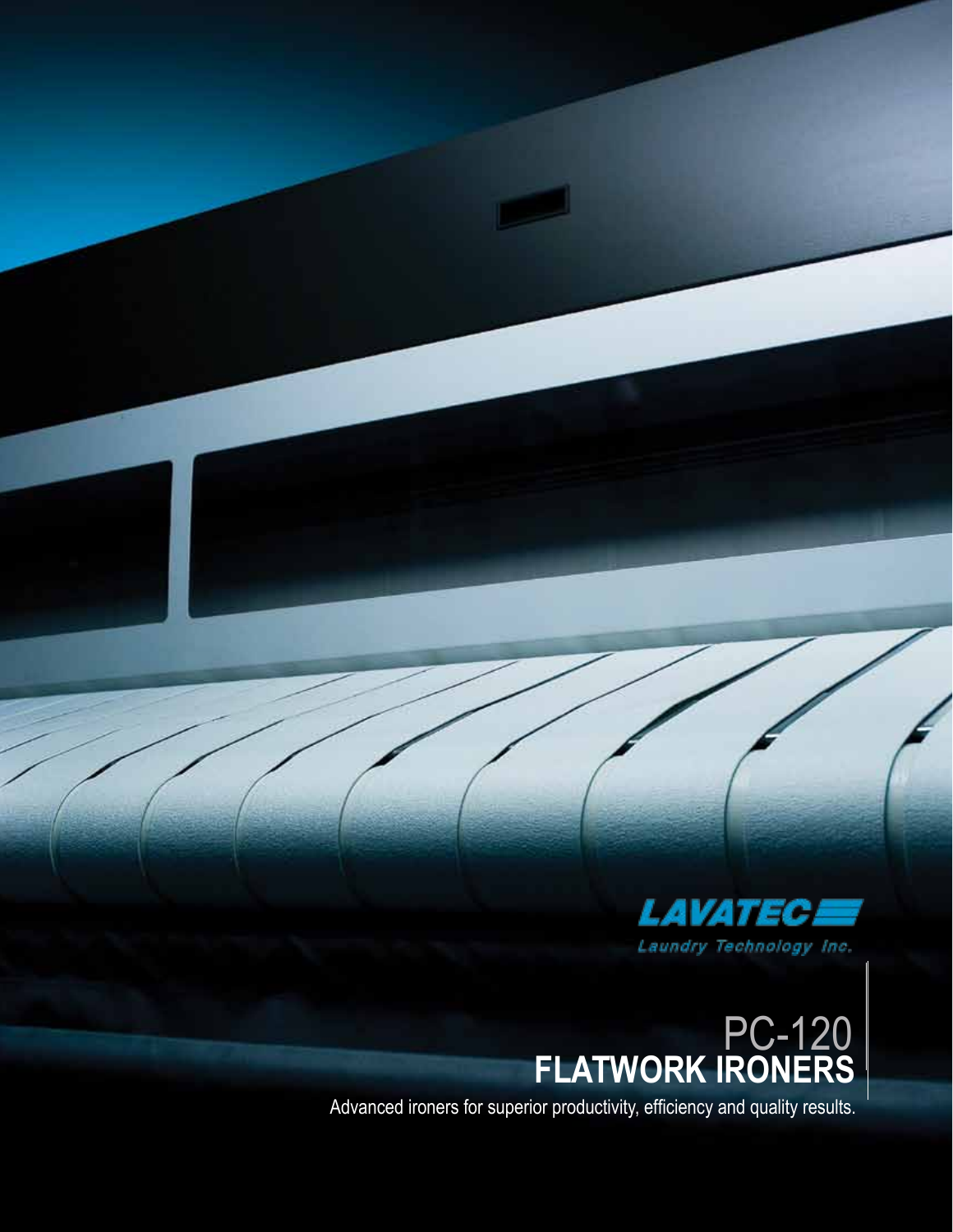

# **FLATWORK IRONERS** PC-120

Advanced ironers for superior productivity, efficiency and quality results.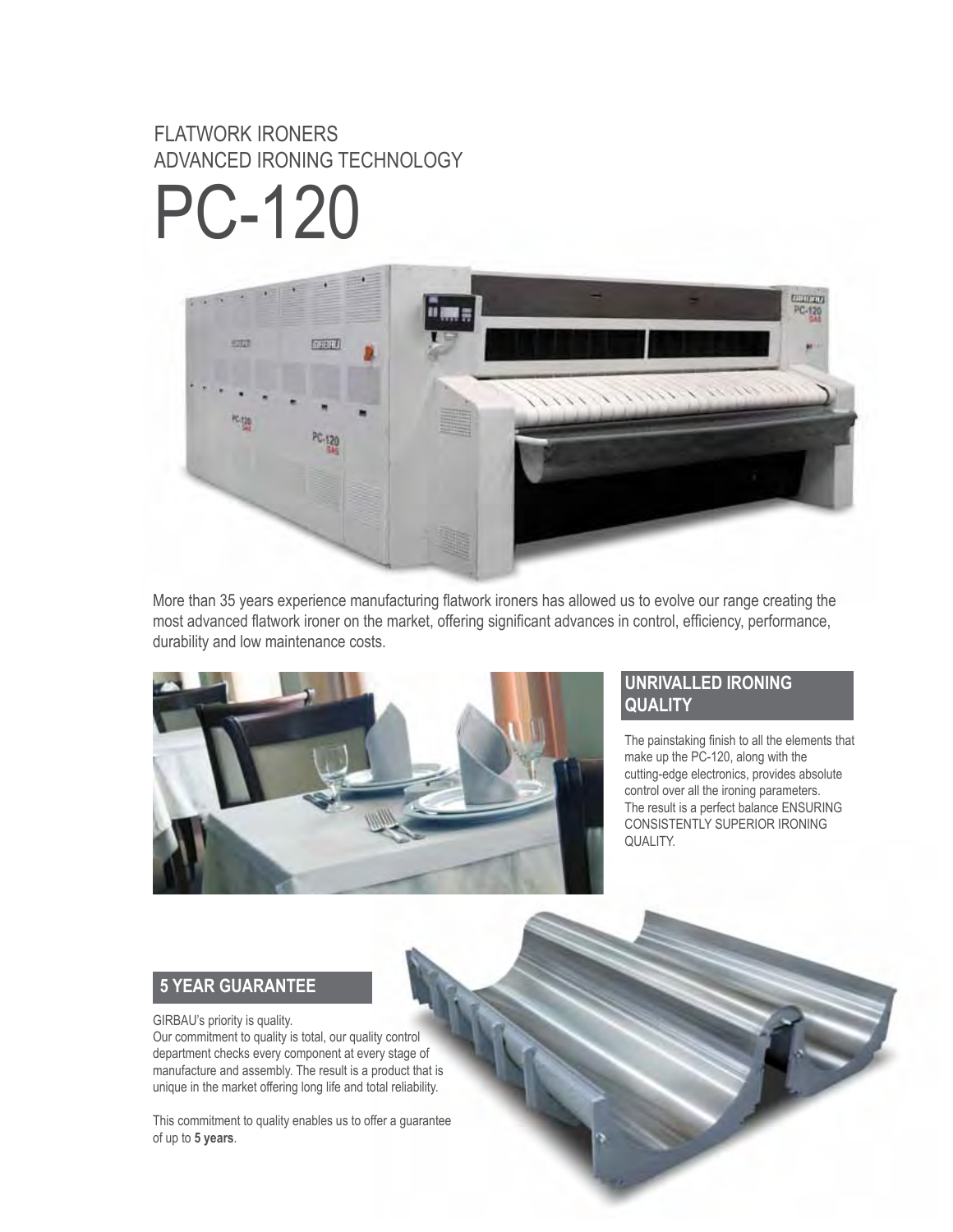## FLATWORK IRONERS ADVANCED IRONING TECHNOLOGY

PC-120



More than 35 years experience manufacturing flatwork ironers has allowed us to evolve our range creating the most advanced flatwork ironer on the market, offering significant advances in control, efficiency, performance, durability and low maintenance costs.



#### **UNRIVALLED IRONING QUALITY**

The painstaking finish to all the elements that make up the PC-120, along with the cutting-edge electronics, provides absolute control over all the ironing parameters. The result is a perfect balance ENSURING CONSISTENTLY SUPERIOR IRONING QUALITY.

### **5 YEAR GUARANTEE**

#### GIRBAU's priority is quality.

Our commitment to quality is total, our quality control department checks every component at every stage of manufacture and assembly. The result is a product that is unique in the market offering long life and total reliability.

This commitment to quality enables us to offer a guarantee of up to **5 years**.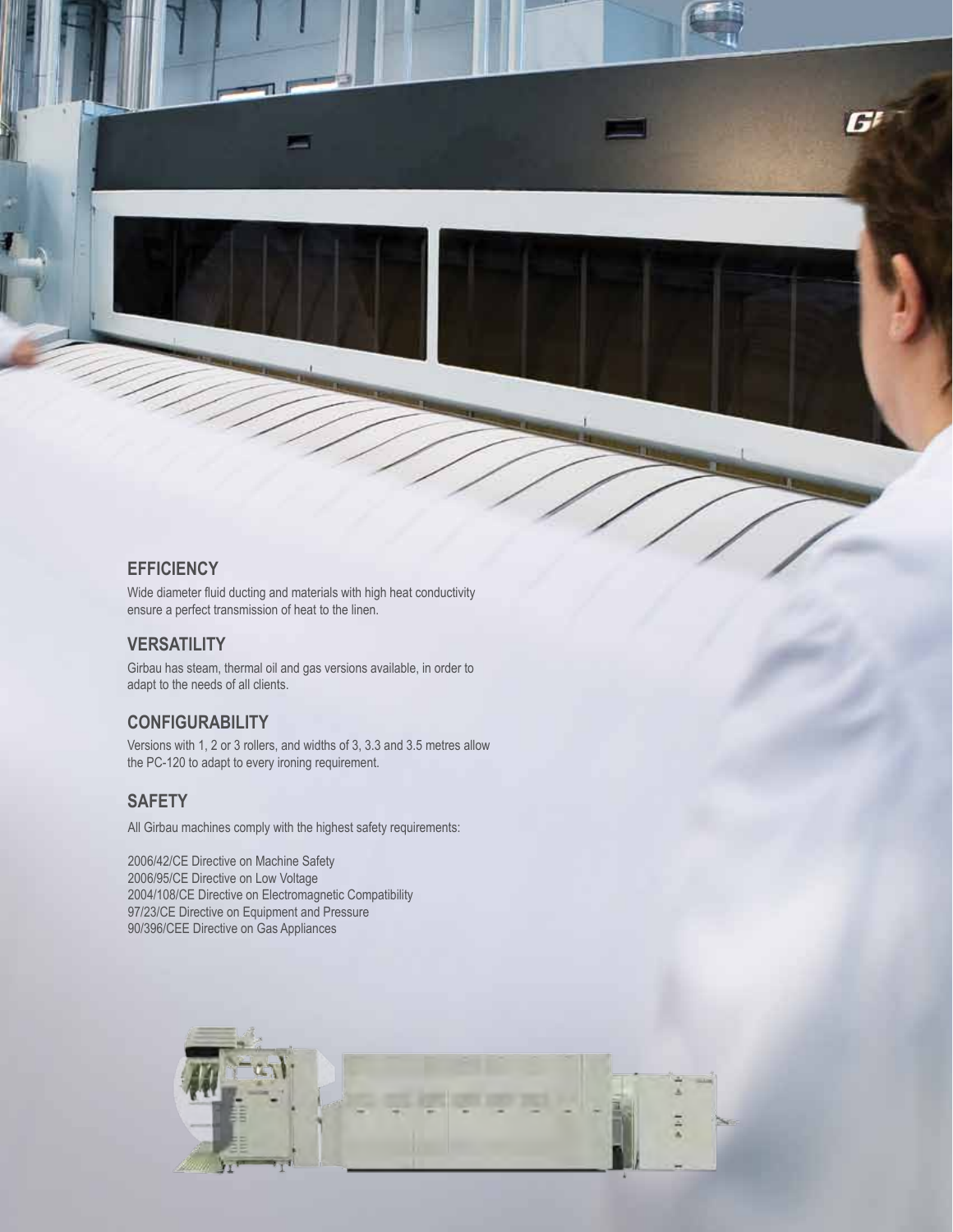#### **EFFICIENCY**

Wide diameter fluid ducting and materials with high heat conductivity ensure a perfect transmission of heat to the linen.

#### **VERSATILITY**

Girbau has steam, thermal oil and gas versions available, in order to adapt to the needs of all clients.

#### **CONFIGURABILITY**

Versions with 1, 2 or 3 rollers, and widths of 3, 3.3 and 3.5 metres allow the PC-120 to adapt to every ironing requirement.

#### **SAFETY**

All Girbau machines comply with the highest safety requirements:

2006/42/CE Directive on Machine Safety 2006/95/CE Directive on Low Voltage 2004/108/CE Directive on Electromagnetic Compatibility 97/23/CE Directive on Equipment and Pressure 90/396/CEE Directive on Gas Appliances

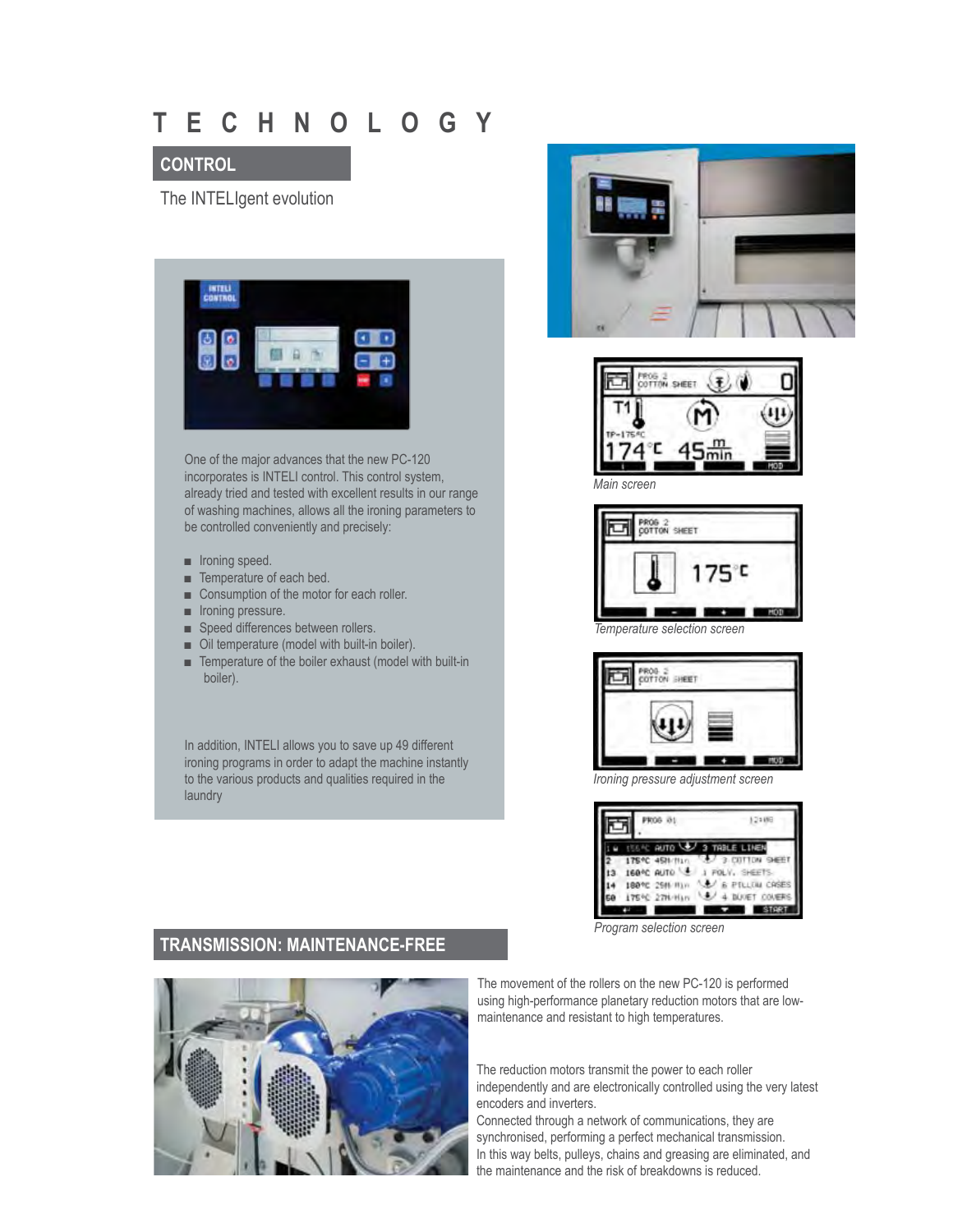## **T E C H N O L O G Y**

#### **CONTROL**

The INTELIgent evolution



One of the major advances that the new PC-120 incorporates is INTELI control. This control system, already tried and tested with excellent results in our range of washing machines, allows all the ironing parameters to be controlled conveniently and precisely:

- Ironing speed.
- Temperature of each bed.
- Consumption of the motor for each roller.
- Ironing pressure.
- Speed differences between rollers.
- Oil temperature (model with built-in boiler).
- Temperature of the boiler exhaust (model with built-in boiler).

In addition, INTELI allows you to save up 49 different ironing programs in order to adapt the machine instantly to the various products and qualities required in the laundry









*Ironing pressure adjustment screen*

|               | в     | TABLE LINEN |  |
|---------------|-------|-------------|--|
| 175 °C        |       |             |  |
| 160°C<br>AUTO |       | SHEET       |  |
| 189°C 2       | k vir |             |  |
|               |       |             |  |
|               |       |             |  |

*Program selection screen*

#### **TRANSMISSION: MAINTENANCE-FREE**



The movement of the rollers on the new PC-120 is performed using high-performance planetary reduction motors that are lowmaintenance and resistant to high temperatures.

The reduction motors transmit the power to each roller independently and are electronically controlled using the very latest encoders and inverters.

Connected through a network of communications, they are synchronised, performing a perfect mechanical transmission. In this way belts, pulleys, chains and greasing are eliminated, and the maintenance and the risk of breakdowns is reduced.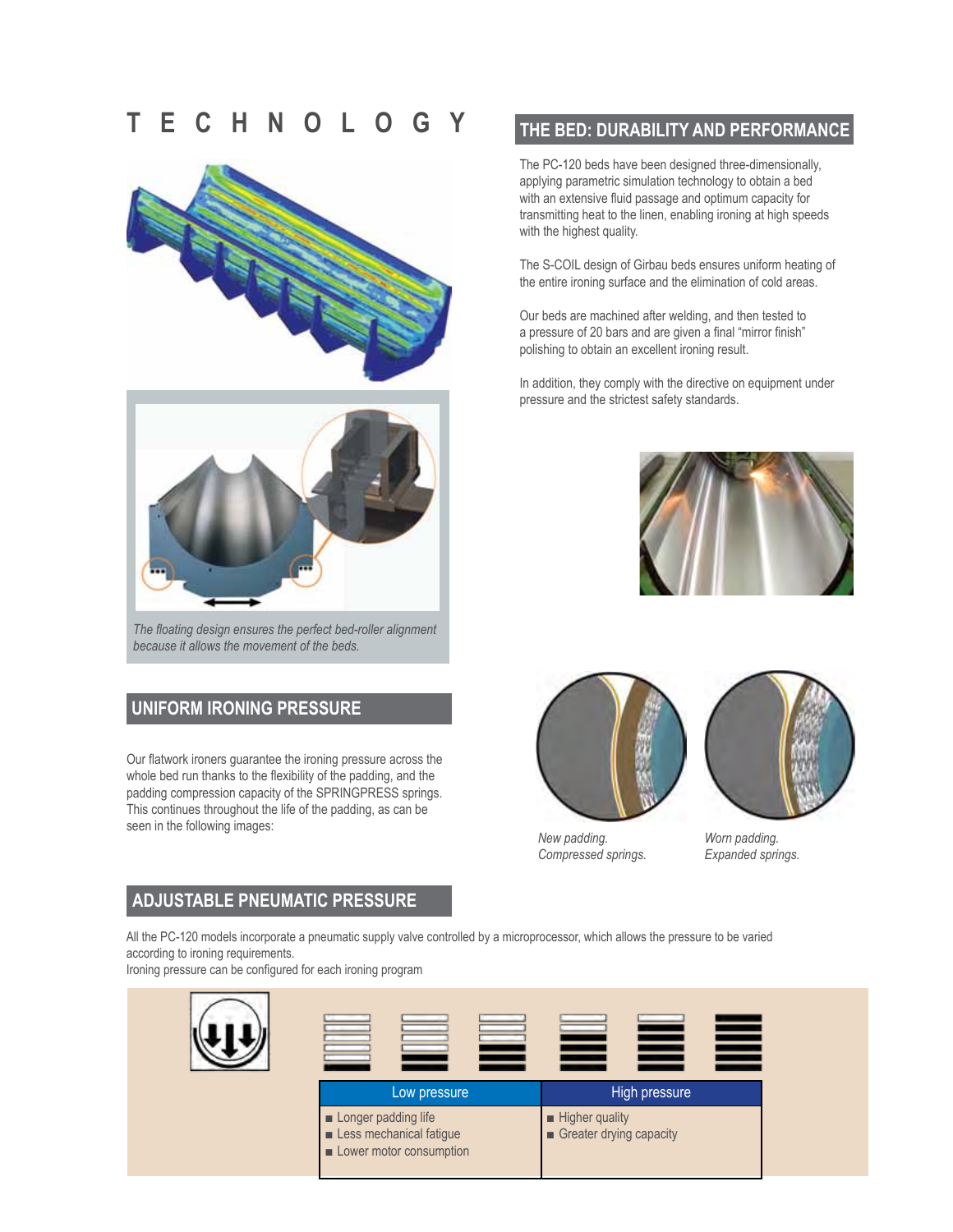## **T E C H N O L O G Y**





*The floating design ensures the perfect bed-roller alignment because it allows the movement of the beds.*

#### **UNIFORM IRONING PRESSURE**

Our flatwork ironers guarantee the ironing pressure across the whole bed run thanks to the flexibility of the padding, and the padding compression capacity of the SPRINGPRESS springs. This continues throughout the life of the padding, as can be seen in the following images:

#### **THE BED: DURABILITY AND PERFORMANCE**

The PC-120 beds have been designed three-dimensionally, applying parametric simulation technology to obtain a bed with an extensive fluid passage and optimum capacity for transmitting heat to the linen, enabling ironing at high speeds with the highest quality.

The S-COIL design of Girbau beds ensures uniform heating of the entire ironing surface and the elimination of cold areas.

Our beds are machined after welding, and then tested to a pressure of 20 bars and are given a final "mirror finish" polishing to obtain an excellent ironing result.

In addition, they comply with the directive on equipment under pressure and the strictest safety standards.







*New padding. Compressed springs.* 

*Worn padding. Expanded springs.*

#### **ADJUSTABLE PNEUMATIC PRESSURE**

All the PC-120 models incorporate a pneumatic supply valve controlled by a microprocessor, which allows the pressure to be varied according to ironing requirements.

Ironing pressure can be configured for each ironing program

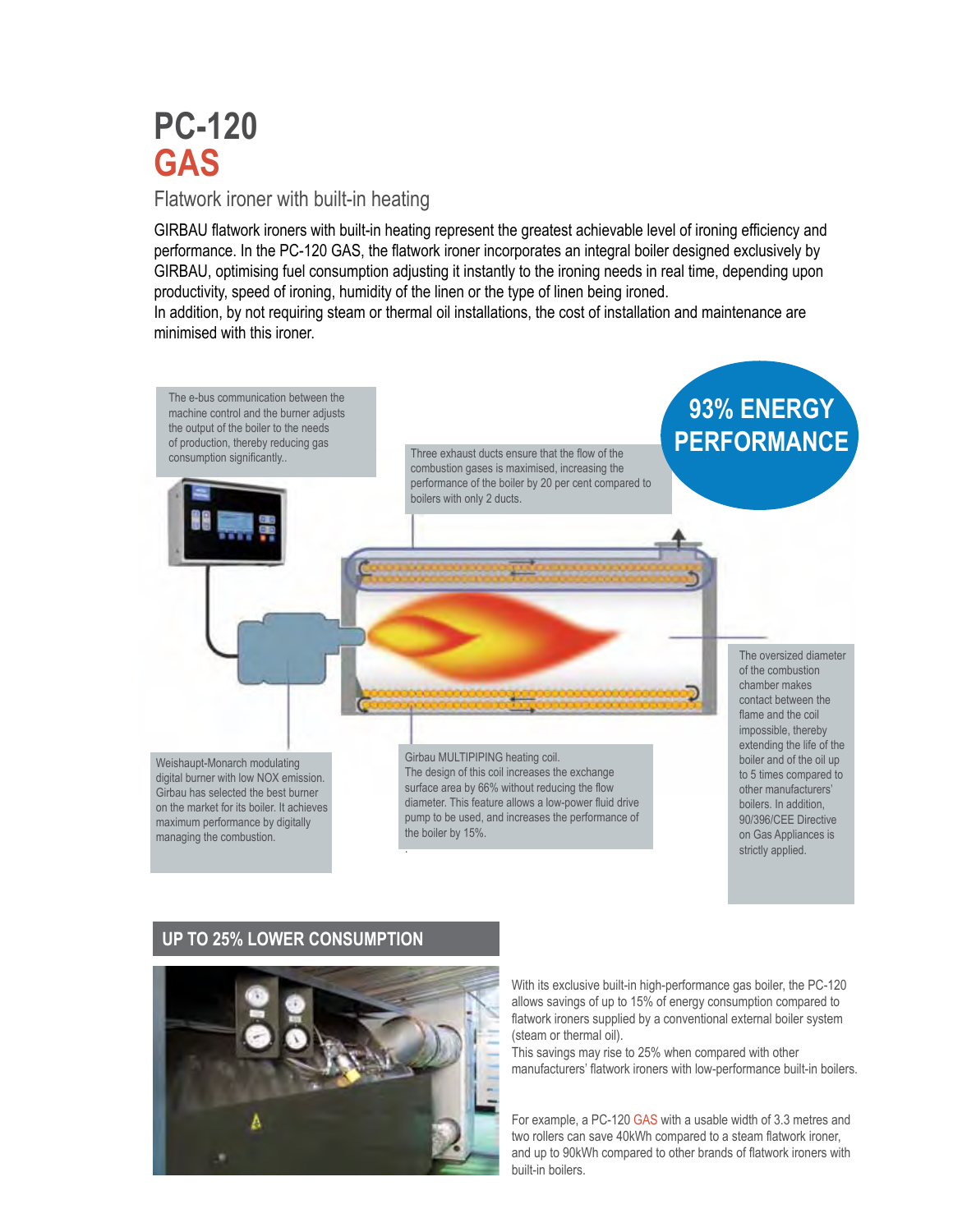# **PC-120 GAS**

#### Flatwork ironer with built-in heating

GIRBAU flatwork ironers with built-in heating represent the greatest achievable level of ironing efficiency and performance. In the PC-120 GAS, the flatwork ironer incorporates an integral boiler designed exclusively by GIRBAU, optimising fuel consumption adjusting it instantly to the ironing needs in real time, depending upon productivity, speed of ironing, humidity of the linen or the type of linen being ironed.

In addition, by not requiring steam or thermal oil installations, the cost of installation and maintenance are minimised with this ironer.



#### **UP TO 25% LOWER CONSUMPTION**



With its exclusive built-in high-performance gas boiler, the PC-120 allows savings of up to 15% of energy consumption compared to flatwork ironers supplied by a conventional external boiler system (steam or thermal oil).

This savings may rise to 25% when compared with other manufacturers' flatwork ironers with low-performance built-in boilers.

For example, a PC-120 GAS with a usable width of 3.3 metres and two rollers can save 40kWh compared to a steam flatwork ironer, and up to 90kWh compared to other brands of flatwork ironers with built-in boilers.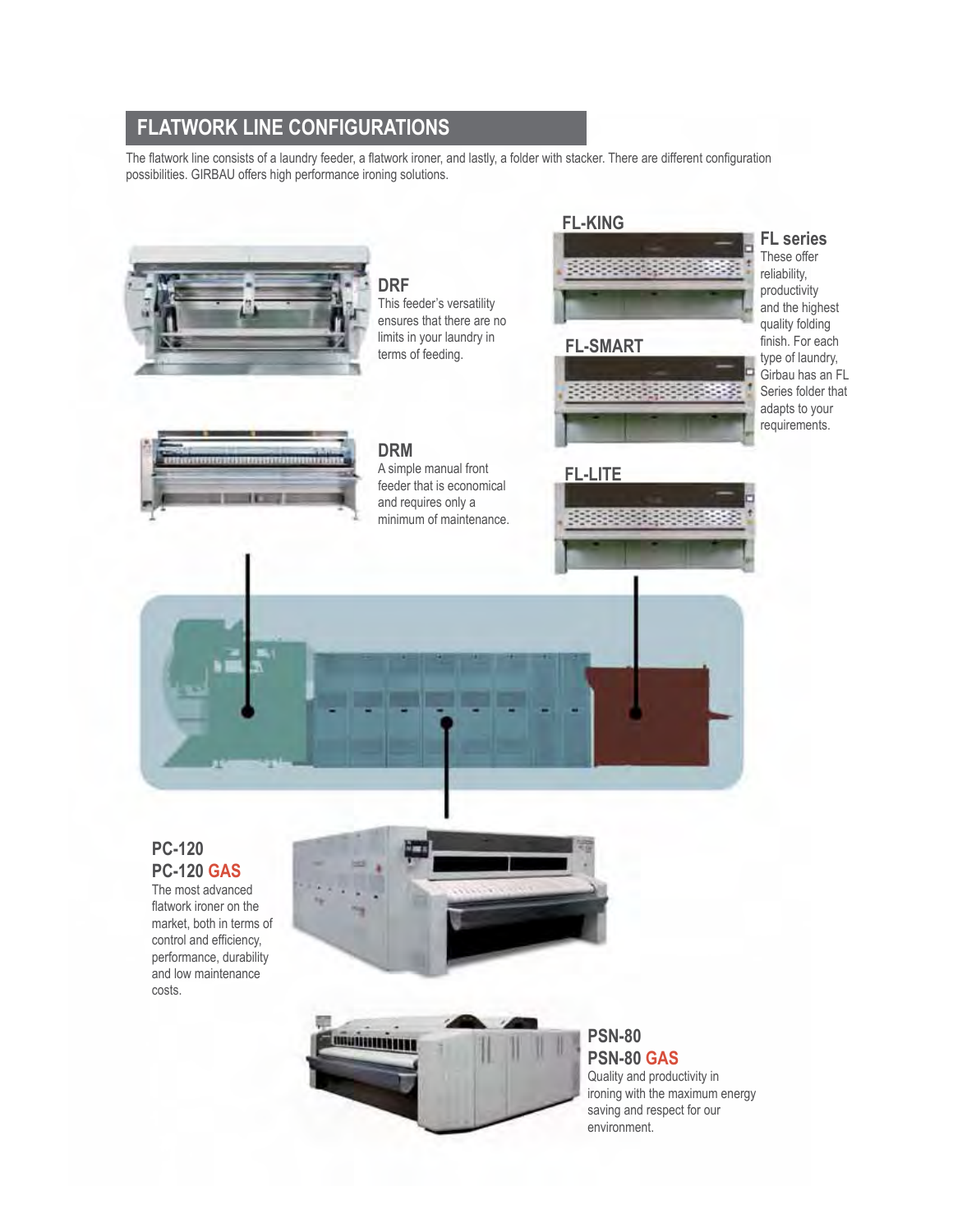### **FLATWORK LINE CONFIGURATIONS**

The flatwork line consists of a laundry feeder, a flatwork ironer, and lastly, a folder with stacker. There are different configuration possibilities. GIRBAU offers high performance ironing solutions.